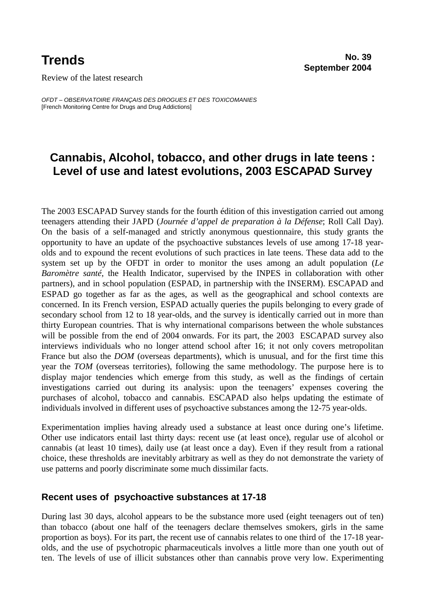Review of the latest research

*OFDT – OBSERVATOIRE FRANÇAIS DES DROGUES ET DES TOXICOMANIES*  [French Monitoring Centre for Drugs and Drug Addictions]

# **Cannabis, Alcohol, tobacco, and other drugs in late teens : Level of use and latest evolutions, 2003 ESCAPAD Survey**

The 2003 ESCAPAD Survey stands for the fourth édition of this investigation carried out among teenagers attending their JAPD (*Journée d'appel de preparation à la Défense*; Roll Call Day). On the basis of a self-managed and strictly anonymous questionnaire, this study grants the opportunity to have an update of the psychoactive substances levels of use among 17-18 yearolds and to expound the recent evolutions of such practices in late teens. These data add to the system set up by the OFDT in order to monitor the uses among an adult population (*Le Baromètre santé*, the Health Indicator, supervised by the INPES in collaboration with other partners), and in school population (ESPAD, in partnership with the INSERM). ESCAPAD and ESPAD go together as far as the ages, as well as the geographical and school contexts are concerned. In its French version, ESPAD actually queries the pupils belonging to every grade of secondary school from 12 to 18 year-olds, and the survey is identically carried out in more than thirty European countries. That is why international comparisons between the whole substances will be possible from the end of 2004 onwards. For its part, the 2003 ESCAPAD survey also interviews individuals who no longer attend school after 16; it not only covers metropolitan France but also the *DOM* (overseas departments), which is unusual, and for the first time this year the *TOM* (overseas territories), following the same methodology. The purpose here is to display major tendencies which emerge from this study, as well as the findings of certain investigations carried out during its analysis: upon the teenagers' expenses covering the purchases of alcohol, tobacco and cannabis. ESCAPAD also helps updating the estimate of individuals involved in different uses of psychoactive substances among the 12-75 year-olds.

Experimentation implies having already used a substance at least once during one's lifetime. Other use indicators entail last thirty days: recent use (at least once), regular use of alcohol or cannabis (at least 10 times), daily use (at least once a day). Even if they result from a rational choice, these thresholds are inevitably arbitrary as well as they do not demonstrate the variety of use patterns and poorly discriminate some much dissimilar facts.

## **Recent uses of psychoactive substances at 17-18**

During last 30 days, alcohol appears to be the substance more used (eight teenagers out of ten) than tobacco (about one half of the teenagers declare themselves smokers, girls in the same proportion as boys). For its part, the recent use of cannabis relates to one third of the 17-18 yearolds, and the use of psychotropic pharmaceuticals involves a little more than one youth out of ten. The levels of use of illicit substances other than cannabis prove very low. Experimenting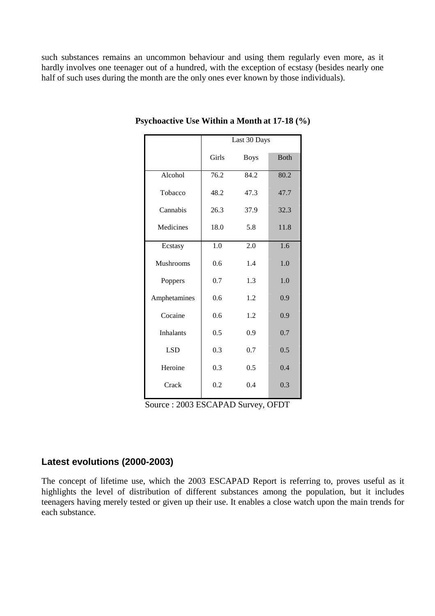such substances remains an uncommon behaviour and using them regularly even more, as it hardly involves one teenager out of a hundred, with the exception of ecstasy (besides nearly one half of such uses during the month are the only ones ever known by those individuals).

|                  | Last 30 Days |             |             |  |  |
|------------------|--------------|-------------|-------------|--|--|
|                  | Girls        | <b>Boys</b> | <b>Both</b> |  |  |
| Alcohol          | 76.2         | 84.2        | 80.2        |  |  |
| Tobacco          | 48.2         | 47.3        | 47.7        |  |  |
| Cannabis         | 26.3         | 37.9        | 32.3        |  |  |
| Medicines        | 18.0         | 5.8         | 11.8        |  |  |
| Ecstasy          | 1.0          | 2.0         | 1.6         |  |  |
| Mushrooms        | 0.6          | 1.4         |             |  |  |
| Poppers          | 0.7          | 1.3         | 1.0         |  |  |
| Amphetamines     | 0.6          | 1.2         | 0.9         |  |  |
| Cocaine          | 0.6          | 1.2         | 0.9         |  |  |
| <b>Inhalants</b> | 0.5          | 0.9         | 0.7         |  |  |
| <b>LSD</b>       | 0.3          | 0.7         | 0.5         |  |  |
| Heroine          | 0.3          | 0.5         | 0.4         |  |  |
| Crack            | 0.2          | 0.4         | 0.3         |  |  |

#### **Psychoactive Use Within a Month at 17-18 (%)**

Source : 2003 ESCAPAD Survey, OFDT

## **Latest evolutions (2000-2003)**

The concept of lifetime use, which the 2003 ESCAPAD Report is referring to, proves useful as it highlights the level of distribution of different substances among the population, but it includes teenagers having merely tested or given up their use. It enables a close watch upon the main trends for each substance.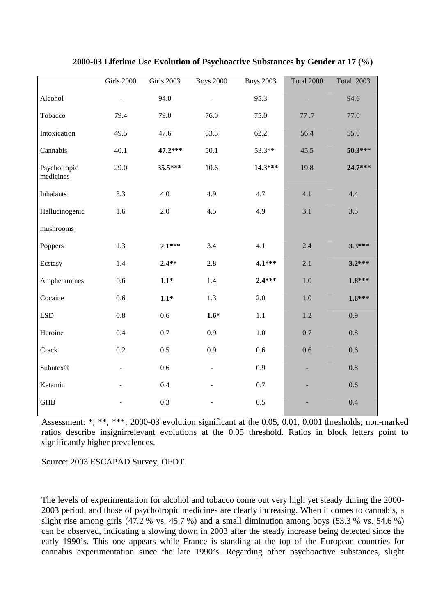|                           | Girls 2000               | <b>Girls 2003</b> | <b>Boys 2000</b> | <b>Boys 2003</b> | <b>Total 2000</b> | <b>Total 2003</b> |
|---------------------------|--------------------------|-------------------|------------------|------------------|-------------------|-------------------|
| Alcohol                   | $\Box$                   | 94.0              |                  | 95.3             |                   | 94.6              |
| Tobacco                   | 79.4                     | 79.0              | 76.0             | 75.0             | 77.7              | 77.0              |
| Intoxication              | 49.5                     | 47.6              | 63.3             | 62.2             | 56.4              | 55.0              |
| Cannabis                  | 40.1                     | 47.2***           | 50.1             | 53.3**           | 45.5              | 50.3***           |
| Psychotropic<br>medicines | 29.0                     | 35.5***           | 10.6             | 14.3***          | 19.8              | 24.7***           |
| <b>Inhalants</b>          | 3.3                      | 4.0               | 4.9              | 4.7              | 4.1               | 4.4               |
| Hallucinogenic            | 1.6                      | 2.0               | 4.5              | 4.9              | 3.1               | 3.5               |
| mushrooms                 |                          |                   |                  |                  |                   |                   |
| Poppers                   | 1.3                      | $2.1***$          | 3.4              | 4.1              | 2.4               | $3.3***$          |
| Ecstasy                   | 1.4                      | $2.4**$           | 2.8              | $4.1***$         | 2.1               | $3.2***$          |
| Amphetamines              | 0.6                      | $1.1*$            | 1.4              | $2.4***$         | 1.0               | $1.8***$          |
| Cocaine                   | 0.6                      | $1.1*$            | 1.3              | 2.0              | 1.0               | $1.6***$          |
| <b>LSD</b>                | 0.8                      | 0.6               | $1.6*$           | 1.1              | $1.2\,$           | 0.9               |
| Heroine                   | 0.4                      | 0.7               | 0.9              | $1.0\,$          | 0.7               | 0.8               |
| Crack                     | 0.2                      | 0.5               | 0.9              | 0.6              | 0.6               | 0.6               |
| Subutex®                  | $\overline{\phantom{a}}$ | 0.6               |                  | 0.9              |                   | 0.8               |
| Ketamin                   |                          | 0.4               |                  | 0.7              |                   | 0.6               |
| <b>GHB</b>                |                          | 0.3               |                  | 0.5              |                   | 0.4               |

**2000-03 Lifetime Use Evolution of Psychoactive Substances by Gender at 17 (%)** 

Assessment: \*, \*\*, \*\*\*: 2000-03 evolution significant at the 0.05, 0.01, 0.001 thresholds; non-marked ratios describe insignirrelevant evolutions at the 0.05 threshold. Ratios in block letters point to significantly higher prevalences.

Source: 2003 ESCAPAD Survey, OFDT.

The levels of experimentation for alcohol and tobacco come out very high yet steady during the 2000- 2003 period, and those of psychotropic medicines are clearly increasing. When it comes to cannabis, a slight rise among girls (47.2 % vs. 45.7 %) and a small diminution among boys (53.3 % vs. 54.6 %) can be observed, indicating a slowing down in 2003 after the steady increase being detected since the early 1990's. This one appears while France is standing at the top of the European countries for cannabis experimentation since the late 1990's. Regarding other psychoactive substances, slight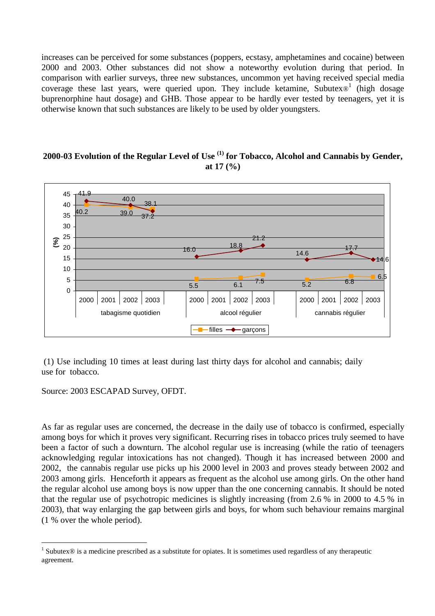increases can be perceived for some substances (poppers, ecstasy, amphetamines and cocaine) between 2000 and 2003. Other substances did not show a noteworthy evolution during that period. In comparison with earlier surveys, three new substances, uncommon yet having received special media coverage these last years, were queried upon. They include ketamine, Subutex $\mathcal{O}^1$  (high dosage buprenorphine haut dosage) and GHB. Those appear to be hardly ever tested by teenagers, yet it is otherwise known that such substances are likely to be used by older youngsters.

### **2000-03 Evolution of the Regular Level of Use (1) for Tobacco, Alcohol and Cannabis by Gender, at 17 (%)**



 (1) Use including 10 times at least during last thirty days for alcohol and cannabis; daily use for tobacco.

Source: 2003 ESCAPAD Survey, OFDT.

 $\overline{a}$ 

As far as regular uses are concerned, the decrease in the daily use of tobacco is confirmed, especially among boys for which it proves very significant. Recurring rises in tobacco prices truly seemed to have been a factor of such a downturn. The alcohol regular use is increasing (while the ratio of teenagers acknowledging regular intoxications has not changed). Though it has increased between 2000 and 2002, the cannabis regular use picks up his 2000 level in 2003 and proves steady between 2002 and 2003 among girls. Henceforth it appears as frequent as the alcohol use among girls. On the other hand the regular alcohol use among boys is now upper than the one concerning cannabis. It should be noted that the regular use of psychotropic medicines is slightly increasing (from 2.6 % in 2000 to 4.5 % in 2003), that way enlarging the gap between girls and boys, for whom such behaviour remains marginal (1 % over the whole period).

<sup>&</sup>lt;sup>1</sup> Subutex $\circledR$  is a medicine prescribed as a substitute for opiates. It is sometimes used regardless of any therapeutic agreement.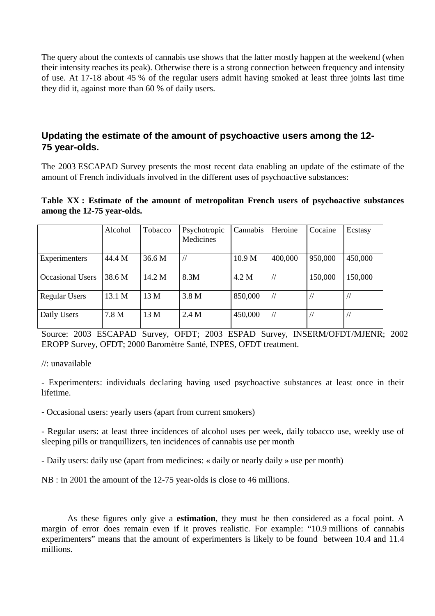The query about the contexts of cannabis use shows that the latter mostly happen at the weekend (when their intensity reaches its peak). Otherwise there is a strong connection between frequency and intensity of use. At 17-18 about 45 % of the regular users admit having smoked at least three joints last time they did it, against more than 60 % of daily users.

## **Updating the estimate of the amount of psychoactive users among the 12- 75 year-olds.**

The 2003 ESCAPAD Survey presents the most recent data enabling an update of the estimate of the amount of French individuals involved in the different uses of psychoactive substances:

#### **Table XX : Estimate of the amount of metropolitan French users of psychoactive substances among the 12-75 year-olds.**

|                         | Alcohol | Tobacco | Psychotropic<br>Medicines | Cannabis | Heroine | Cocaine | Ecstasy |
|-------------------------|---------|---------|---------------------------|----------|---------|---------|---------|
| Experimenters           | 44.4 M  | 36.6 M  |                           | 10.9 M   | 400,000 | 950,000 | 450,000 |
| <b>Occasional Users</b> | 38.6 M  | 14.2 M  | 8.3M                      | 4.2 M    |         | 150,000 | 150,000 |
| <b>Regular Users</b>    | 13.1 M  | 13 M    | 3.8 M                     | 850,000  |         |         |         |
| Daily Users             | 7.8 M   | 13 M    | 2.4 M                     | 450,000  |         |         |         |

Source: 2003 ESCAPAD Survey, OFDT; 2003 ESPAD Survey, INSERM/OFDT/MJENR; 2002 EROPP Survey, OFDT; 2000 Baromètre Santé, INPES, OFDT treatment.

//: unavailable

- Experimenters: individuals declaring having used psychoactive substances at least once in their lifetime.

- Occasional users: yearly users (apart from current smokers)

- Regular users: at least three incidences of alcohol uses per week, daily tobacco use, weekly use of sleeping pills or tranquillizers, ten incidences of cannabis use per month

- Daily users: daily use (apart from medicines: « daily or nearly daily » use per month)

NB : In 2001 the amount of the 12-75 year-olds is close to 46 millions.

As these figures only give a **estimation**, they must be then considered as a focal point. A margin of error does remain even if it proves realistic. For example: "10.9 millions of cannabis experimenters" means that the amount of experimenters is likely to be found between 10.4 and 11.4 millions.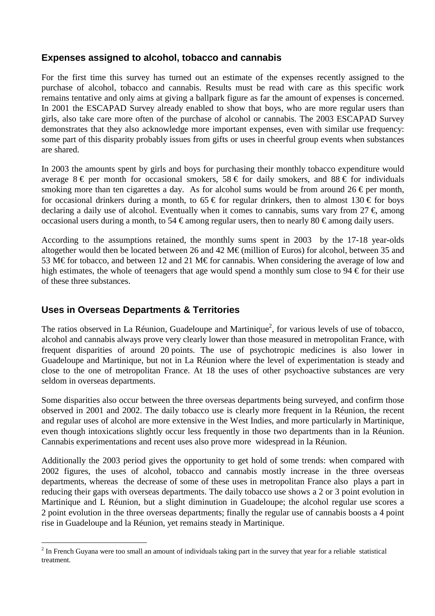## **Expenses assigned to alcohol, tobacco and cannabis**

For the first time this survey has turned out an estimate of the expenses recently assigned to the purchase of alcohol, tobacco and cannabis. Results must be read with care as this specific work remains tentative and only aims at giving a ballpark figure as far the amount of expenses is concerned. In 2001 the ESCAPAD Survey already enabled to show that boys, who are more regular users than girls, also take care more often of the purchase of alcohol or cannabis. The 2003 ESCAPAD Survey demonstrates that they also acknowledge more important expenses, even with similar use frequency: some part of this disparity probably issues from gifts or uses in cheerful group events when substances are shared.

In 2003 the amounts spent by girls and boys for purchasing their monthly tobacco expenditure would average  $8 \in \text{per}$  month for occasional smokers,  $58 \in \text{for}$  daily smokers, and  $88 \in \text{for}$  individuals smoking more than ten cigarettes a day. As for alcohol sums would be from around 26  $\epsilon$  per month, for occasional drinkers during a month, to  $65 \text{ } \in$  for regular drinkers, then to almost 130  $\in$  for boys declaring a daily use of alcohol. Eventually when it comes to cannabis, sums vary from  $27 \in \mathbb{R}$  among occasional users during a month, to 54 € among regular users, then to nearly 80 € among daily users.

According to the assumptions retained, the monthly sums spent in 2003 by the 17-18 year-olds altogether would then be located between 26 and 42 M€ (million of Euros) for alcohol, between 35 and 53 M€ for tobacco, and between 12 and 21 M€ for cannabis. When considering the average of low and high estimates, the whole of teenagers that age would spend a monthly sum close to 94  $\in$  for their use of these three substances.

## **Uses in Overseas Departments & Territories**

 $\overline{a}$ 

The ratios observed in La Réunion, Guadeloupe and Martinique<sup>2</sup>, for various levels of use of tobacco, alcohol and cannabis always prove very clearly lower than those measured in metropolitan France, with frequent disparities of around 20 points. The use of psychotropic medicines is also lower in Guadeloupe and Martinique, but not in La Réunion where the level of experimentation is steady and close to the one of metropolitan France. At 18 the uses of other psychoactive substances are very seldom in overseas departments.

Some disparities also occur between the three overseas departments being surveyed, and confirm those observed in 2001 and 2002. The daily tobacco use is clearly more frequent in la Réunion, the recent and regular uses of alcohol are more extensive in the West Indies, and more particularly in Martinique, even though intoxications slightly occur less frequently in those two departments than in la Réunion. Cannabis experimentations and recent uses also prove more widespread in la Réunion.

Additionally the 2003 period gives the opportunity to get hold of some trends: when compared with 2002 figures, the uses of alcohol, tobacco and cannabis mostly increase in the three overseas departments, whereas the decrease of some of these uses in metropolitan France also plays a part in reducing their gaps with overseas departments. The daily tobacco use shows a 2 or 3 point evolution in Martinique and L Réunion, but a slight diminution in Guadeloupe; the alcohol regular use scores a 2 point evolution in the three overseas departments; finally the regular use of cannabis boosts a 4 point rise in Guadeloupe and la Réunion, yet remains steady in Martinique.

 $2^{2}$  In French Guyana were too small an amount of individuals taking part in the survey that year for a reliable statistical treatment.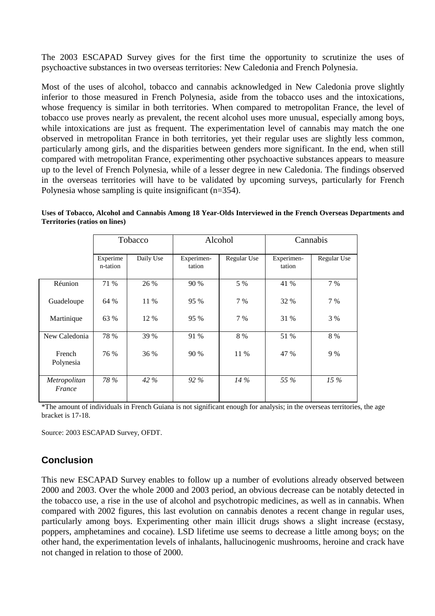The 2003 ESCAPAD Survey gives for the first time the opportunity to scrutinize the uses of psychoactive substances in two overseas territories: New Caledonia and French Polynesia.

Most of the uses of alcohol, tobacco and cannabis acknowledged in New Caledonia prove slightly inferior to those measured in French Polynesia, aside from the tobacco uses and the intoxications, whose frequency is similar in both territories. When compared to metropolitan France, the level of tobacco use proves nearly as prevalent, the recent alcohol uses more unusual, especially among boys, while intoxications are just as frequent. The experimentation level of cannabis may match the one observed in metropolitan France in both territories, yet their regular uses are slightly less common, particularly among girls, and the disparities between genders more significant. In the end, when still compared with metropolitan France, experimenting other psychoactive substances appears to measure up to the level of French Polynesia, while of a lesser degree in new Caledonia. The findings observed in the overseas territories will have to be validated by upcoming surveys, particularly for French Polynesia whose sampling is quite insignificant (n=354).

**Uses of Tobacco, Alcohol and Cannabis Among 18 Year-Olds Interviewed in the French Overseas Departments and Territories (ratios on lines)** 

|                        | Tobacco              |           | Alcohol              |             | Cannabis             |             |
|------------------------|----------------------|-----------|----------------------|-------------|----------------------|-------------|
|                        | Experime<br>n-tation | Daily Use | Experimen-<br>tation | Regular Use | Experimen-<br>tation | Regular Use |
| Réunion                | 71 %                 | 26 %      | 90 %                 | 5 %         | 41 %                 | 7 %         |
| Guadeloupe             | 64 %                 | 11 %      | 95 %                 | 7 %         | 32 %                 | 7 %         |
| Martinique             | 63 %                 | 12 %      | 95 %                 | 7 %         | 31 %                 | 3 %         |
| New Caledonia          | 78 %                 | 39 %      | 91 %                 | 8 %         | 51 %                 | 8 %         |
| French<br>Polynesia    | 76 %                 | 36 %      | 90 %                 | 11 %        | 47 %                 | 9 %         |
| Metropolitan<br>France | 78 %                 | 42 %      | $92\%$               | $14\%$      | 55 %                 | $15\%$      |

\*The amount of individuals in French Guiana is not significant enough for analysis; in the overseas territories, the age bracket is 17-18.

Source: 2003 ESCAPAD Survey, OFDT.

## **Conclusion**

This new ESCAPAD Survey enables to follow up a number of evolutions already observed between 2000 and 2003. Over the whole 2000 and 2003 period, an obvious decrease can be notably detected in the tobacco use, a rise in the use of alcohol and psychotropic medicines, as well as in cannabis. When compared with 2002 figures, this last evolution on cannabis denotes a recent change in regular uses, particularly among boys. Experimenting other main illicit drugs shows a slight increase (ecstasy, poppers, amphetamines and cocaine). LSD lifetime use seems to decrease a little among boys; on the other hand, the experimentation levels of inhalants, hallucinogenic mushrooms, heroine and crack have not changed in relation to those of 2000.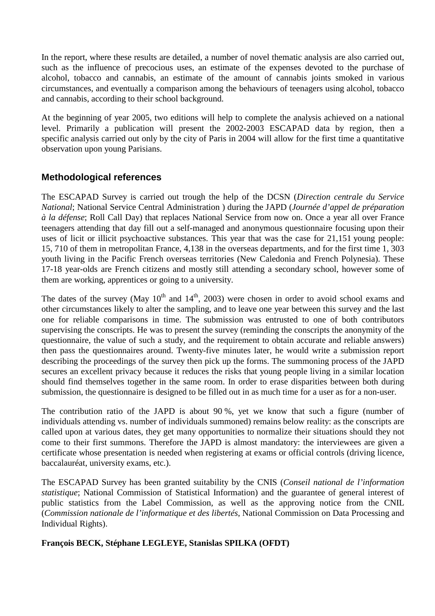In the report, where these results are detailed, a number of novel thematic analysis are also carried out, such as the influence of precocious uses, an estimate of the expenses devoted to the purchase of alcohol, tobacco and cannabis, an estimate of the amount of cannabis joints smoked in various circumstances, and eventually a comparison among the behaviours of teenagers using alcohol, tobacco and cannabis, according to their school background.

At the beginning of year 2005, two editions will help to complete the analysis achieved on a national level. Primarily a publication will present the 2002-2003 ESCAPAD data by region, then a specific analysis carried out only by the city of Paris in 2004 will allow for the first time a quantitative observation upon young Parisians.

## **Methodological references**

The ESCAPAD Survey is carried out trough the help of the DCSN (*Direction centrale du Service National*; National Service Central Administration ) during the JAPD (*Journée d'appel de préparation à la défense*; Roll Call Day) that replaces National Service from now on. Once a year all over France teenagers attending that day fill out a self-managed and anonymous questionnaire focusing upon their uses of licit or illicit psychoactive substances. This year that was the case for 21,151 young people: 15, 710 of them in metropolitan France, 4,138 in the overseas departments, and for the first time 1, 303 youth living in the Pacific French overseas territories (New Caledonia and French Polynesia). These 17-18 year-olds are French citizens and mostly still attending a secondary school, however some of them are working, apprentices or going to a university.

The dates of the survey (May  $10^{th}$  and  $14^{th}$ , 2003) were chosen in order to avoid school exams and other circumstances likely to alter the sampling, and to leave one year between this survey and the last one for reliable comparisons in time. The submission was entrusted to one of both contributors supervising the conscripts. He was to present the survey (reminding the conscripts the anonymity of the questionnaire, the value of such a study, and the requirement to obtain accurate and reliable answers) then pass the questionnaires around. Twenty-five minutes later, he would write a submission report describing the proceedings of the survey then pick up the forms. The summoning process of the JAPD secures an excellent privacy because it reduces the risks that young people living in a similar location should find themselves together in the same room. In order to erase disparities between both during submission, the questionnaire is designed to be filled out in as much time for a user as for a non-user.

The contribution ratio of the JAPD is about 90 %, yet we know that such a figure (number of individuals attending vs. number of individuals summoned) remains below reality: as the conscripts are called upon at various dates, they get many opportunities to normalize their situations should they not come to their first summons. Therefore the JAPD is almost mandatory: the interviewees are given a certificate whose presentation is needed when registering at exams or official controls (driving licence, baccalauréat, university exams, etc.).

The ESCAPAD Survey has been granted suitability by the CNIS (*Conseil national de l'information statistique*; National Commission of Statistical Information) and the guarantee of general interest of public statistics from the Label Commission, as well as the approving notice from the CNIL (*Commission nationale de l'informatique et des libertés*, National Commission on Data Processing and Individual Rights).

**François BECK, Stéphane LEGLEYE, Stanislas SPILKA (OFDT)**